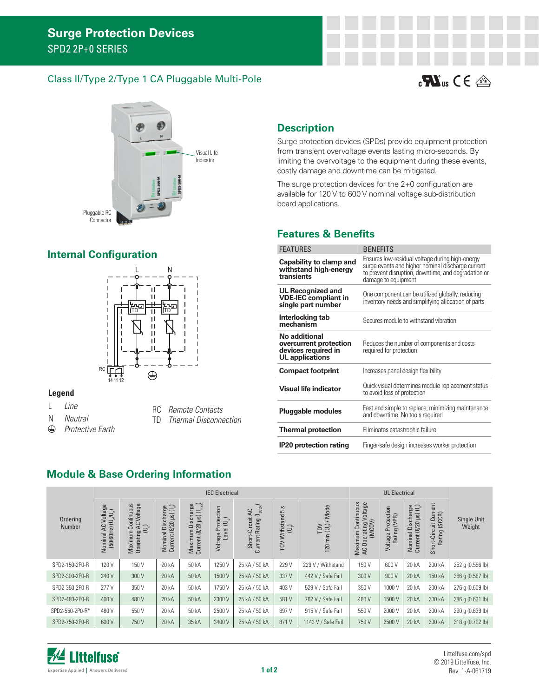#### Class II/Type 2/Type 1 CA Pluggable Multi-Pole





# **Internal Configuration**



#### **Legend**

- L *Line*
- N *Neutral*
- *Protective Earth*  $\bigoplus$
- RC *Remote Contacts*
- TD *Thermal Disconnection*

### **Description**

Surge protection devices (SPDs) provide equipment protection from transient overvoltage events lasting micro-seconds. By limiting the overvoltage to the equipment during these events, costly damage and downtime can be mitigated.

The surge protection devices for the 2+0 configuration are available for 120 V to 600 V nominal voltage sub-distribution board applications.

#### **Features & Benefits**

| <b>FEATURES</b>                                                                          | <b>BENEFITS</b>                                                                                                                                                                    |
|------------------------------------------------------------------------------------------|------------------------------------------------------------------------------------------------------------------------------------------------------------------------------------|
| Capability to clamp and<br>withstand high-energy<br>transients                           | Ensures low-residual voltage during high-energy<br>surge events and higher nominal discharge current<br>to prevent disruption, downtime, and degradation or<br>damage to equipment |
| UL Recognized and<br><b>VDE-IEC</b> compliant in<br>single part number                   | One component can be utilized globally, reducing<br>inventory needs and simplifying allocation of parts                                                                            |
| Interlocking tab<br>mechanism                                                            | Secures module to withstand vibration                                                                                                                                              |
| No additional<br>overcurrent protection<br>devices required in<br><b>UL</b> applications | Reduces the number of components and costs<br>required for protection                                                                                                              |
| <b>Compact footprint</b>                                                                 | Increases panel design flexibility                                                                                                                                                 |
| <b>Visual life indicator</b>                                                             | Quick visual determines module replacement status<br>to avoid loss of protection                                                                                                   |
| Pluggable modules                                                                        | Fast and simple to replace, minimizing maintenance<br>and downtime. No tools required                                                                                              |
| <b>Thermal protection</b>                                                                | Eliminates catastrophic failure                                                                                                                                                    |
| <b>IP20 protection rating</b>                                                            | Finger-safe design increases worker protection                                                                                                                                     |

#### **Module & Base Ordering Information**

|                    | <b>IEC Electrical</b>                                                          |                                                                                    |                                                          |                                                                                  |                                                                                    |                                                                    |                                                                          |                                              |                                                                          | <b>UL Electrical</b>                         |                                                                      |                                                             |                       |
|--------------------|--------------------------------------------------------------------------------|------------------------------------------------------------------------------------|----------------------------------------------------------|----------------------------------------------------------------------------------|------------------------------------------------------------------------------------|--------------------------------------------------------------------|--------------------------------------------------------------------------|----------------------------------------------|--------------------------------------------------------------------------|----------------------------------------------|----------------------------------------------------------------------|-------------------------------------------------------------|-----------------------|
| Ordering<br>Number | Iominal AC Voltage<br>(50/60Hz) (U <sub>s</sub> /U <sub>s</sub> )<br>Nominal A | Continuous<br>Voltage<br><b>AC</b><br>$\widetilde{\sqcup}$<br>Maximum<br>Operating | Nominal Discharge<br>Current (8/20 µs) (I <sub>n</sub> ) | $\bigcap_{\text{max}}$<br>rge<br>$=$<br>Maximum Dischar<br>Current (8/20 µs) (1, | ction<br>$\left(\bigcup_{p} \mathbb{I}_{p}\right)$<br>ote<br>Level<br>௳<br>Voltage | $_{\rm SCGR}$<br>QC<br>$\, =\,$<br>Short-Circuit<br>Current Rating | $\boldsymbol{\mathsf{c}}$<br>5<br>TOV Withstand<br>$\bigoplus_{i=1}^{n}$ | $(U_{\uparrow})$ / Mode<br>TOV<br>min<br>120 | Continuous<br>Voltage<br>Operating Vo<br>(MCOV)<br>Maximum<br>AC Operati | Voltage Protection<br>Rating (VPR)<br>Rating | al Discharge<br>(8/20 µs) (I <sub>n</sub> )<br>Nominal<br>Current (8 | Current<br>-Circuit Curr<br>ting (SCCR)<br>Rating<br>Short- | Single Unit<br>Weight |
| SPD2-150-2P0-R     | 120 V                                                                          | 150V                                                                               | 20 kA                                                    | 50 kA                                                                            | 1250 V                                                                             | 25 kA / 50 kA                                                      | 229 V                                                                    | 229 V / Withstand                            | 150V                                                                     | 600 V                                        | 20 kA                                                                | 200 kA                                                      | 252 g (0.556 lb)      |
| SPD2-300-2P0-R     | 240 V                                                                          | 300 V                                                                              | 20 kA                                                    | 50 kA                                                                            | 1500 V                                                                             | 25 kA / 50 kA                                                      | 337 V                                                                    | 442 V / Safe Fail                            | 300 V                                                                    | 900 V                                        | 20 kA                                                                | 150 kA                                                      | 266 q (0.587 lb)      |
| SPD2-350-2P0-R     | 277 V                                                                          | 350 V                                                                              | 20 kA                                                    | 50 kA                                                                            | 1750 V                                                                             | 25 kA / 50 kA                                                      | 403V                                                                     | 529 V / Safe Fail                            | 350 V                                                                    | 1000 V                                       | 20 kA                                                                | 200 kA                                                      | 276 g (0.609 lb)      |
| SPD2-480-2P0-R     | 400 V                                                                          | 480 V                                                                              | 20 kA                                                    | 50 kA                                                                            | 2300 V                                                                             | 25 kA / 50 kA                                                      | 581 V                                                                    | 762 V / Safe Fail                            | 480 V                                                                    | 1500 V                                       | 20 kA                                                                | 200 kA                                                      | 286 g (0.631 lb)      |
| SPD2-550-2P0-R*    | 480 V                                                                          | 550 V                                                                              | 20 kA                                                    | 50 kA                                                                            | 2500 V                                                                             | 25 kA / 50 kA                                                      | 697 V                                                                    | 915 V / Safe Fail                            | 550 V                                                                    | 2000 V                                       | 20 kA                                                                | 200 kA                                                      | 290 q (0.639 lb)      |
| SPD2-750-2P0-R     | 600 V                                                                          | 750 V                                                                              | 20 kA                                                    | 35 kA                                                                            | 3400 V                                                                             | 25 kA / 50 kA                                                      | 871 V                                                                    | 1143 V / Safe Fail                           | 750V                                                                     | 2500 V                                       | 20 kA                                                                | 200 kA                                                      | 318 g (0.702 lb)      |